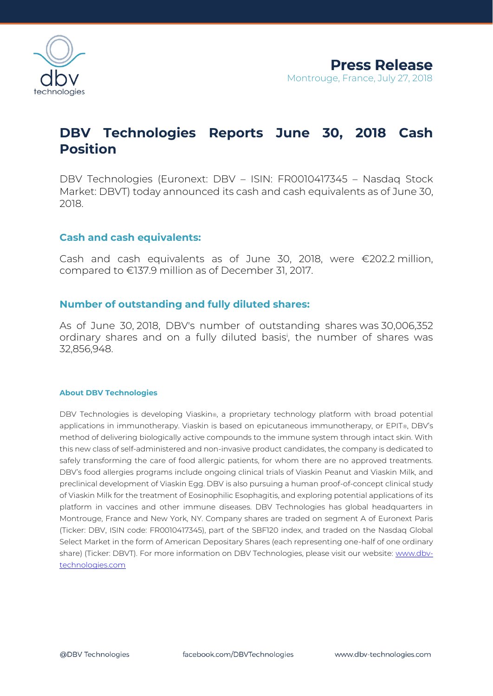

# **DBV Technologies Reports June 30, 2018 Cash Position**

DBV Technologies (Euronext: DBV – ISIN: FR0010417345 – Nasdaq Stock Market: DBVT) today announced its cash and cash equivalents as of June 30, 2018.

### **Cash and cash equivalents:**

Cash and cash equivalents as of June 30, 2018, were €202.2 million, compared to €137.9 million as of December 31, 2017.

## **Number of outstanding and fully diluted shares:**

As of June 30, 2018, DBV's number of outstanding shares was 30,006,352 ordinary shares and on a fully diluted basis<sup>i</sup> , the number of shares was 32,856,948.

#### **About DBV Technologies**

DBV Technologies is developing Viaskin®, a proprietary technology platform with broad potential applications in immunotherapy. Viaskin is based on epicutaneous immunotherapy, or EPIT®, DBV's method of delivering biologically active compounds to the immune system through intact skin. With this new class of self-administered and non-invasive product candidates, the company is dedicated to safely transforming the care of food allergic patients, for whom there are no approved treatments. DBV's food allergies programs include ongoing clinical trials of Viaskin Peanut and Viaskin Milk, and preclinical development of Viaskin Egg. DBV is also pursuing a human proof-of-concept clinical study of Viaskin Milk for the treatment of Eosinophilic Esophagitis, and exploring potential applications of its platform in vaccines and other immune diseases. DBV Technologies has global headquarters in Montrouge, France and New York, NY. Company shares are traded on segment A of Euronext Paris (Ticker: DBV, ISIN code: FR0010417345), part of the SBF120 index, and traded on the Nasdaq Global Select Market in the form of American Depositary Shares (each representing one-half of one ordinary share) (Ticker: DBVT). For more information on DBV Technologies, please visit our website: [www.dbv](http://www.dbv-technologies.com/)[technologies.com](http://www.dbv-technologies.com/)